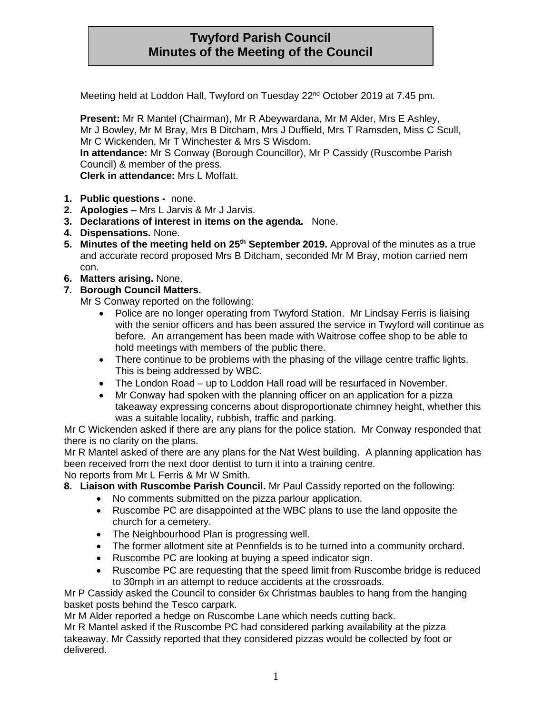# **Twyford Parish Council Minutes of the Meeting of the Council**

Meeting held at Loddon Hall, Twyford on Tuesday 22<sup>nd</sup> October 2019 at 7.45 pm.

**Present:** Mr R Mantel (Chairman), Mr R Abeywardana, Mr M Alder, Mrs E Ashley, Mr J Bowley, Mr M Bray, Mrs B Ditcham, Mrs J Duffield, Mrs T Ramsden, Miss C Scull, Mr C Wickenden, Mr T Winchester & Mrs S Wisdom.

**In attendance:** Mr S Conway (Borough Councillor), Mr P Cassidy (Ruscombe Parish Council) & member of the press.

**Clerk in attendance:** Mrs L Moffatt.

- **1. Public questions -** none.
- **2. Apologies –** Mrs L Jarvis & Mr J Jarvis.
- **3. Declarations of interest in items on the agenda.** None.
- **4. Dispensations.** None.
- **5. Minutes of the meeting held on 25th September 2019.** Approval of the minutes as a true and accurate record proposed Mrs B Ditcham, seconded Mr M Bray, motion carried nem con.
- **6. Matters arising.** None.
- **7. Borough Council Matters.**

Mr S Conway reported on the following:

- Police are no longer operating from Twyford Station. Mr Lindsay Ferris is liaising with the senior officers and has been assured the service in Twyford will continue as before. An arrangement has been made with Waitrose coffee shop to be able to hold meetings with members of the public there.
- There continue to be problems with the phasing of the village centre traffic lights. This is being addressed by WBC.
- The London Road up to Loddon Hall road will be resurfaced in November.
- Mr Conway had spoken with the planning officer on an application for a pizza takeaway expressing concerns about disproportionate chimney height, whether this was a suitable locality, rubbish, traffic and parking.

Mr C Wickenden asked if there are any plans for the police station. Mr Conway responded that there is no clarity on the plans.

Mr R Mantel asked of there are any plans for the Nat West building. A planning application has been received from the next door dentist to turn it into a training centre.

### No reports from Mr L Ferris & Mr W Smith.

### **8. Liaison with Ruscombe Parish Council.** Mr Paul Cassidy reported on the following:

- No comments submitted on the pizza parlour application.
- Ruscombe PC are disappointed at the WBC plans to use the land opposite the church for a cemetery.
- The Neighbourhood Plan is progressing well.
- The former allotment site at Pennfields is to be turned into a community orchard.
- Ruscombe PC are looking at buying a speed indicator sign.
- Ruscombe PC are requesting that the speed limit from Ruscombe bridge is reduced to 30mph in an attempt to reduce accidents at the crossroads.

Mr P Cassidy asked the Council to consider 6x Christmas baubles to hang from the hanging basket posts behind the Tesco carpark.

Mr M Alder reported a hedge on Ruscombe Lane which needs cutting back.

Mr R Mantel asked if the Ruscombe PC had considered parking availability at the pizza takeaway. Mr Cassidy reported that they considered pizzas would be collected by foot or delivered.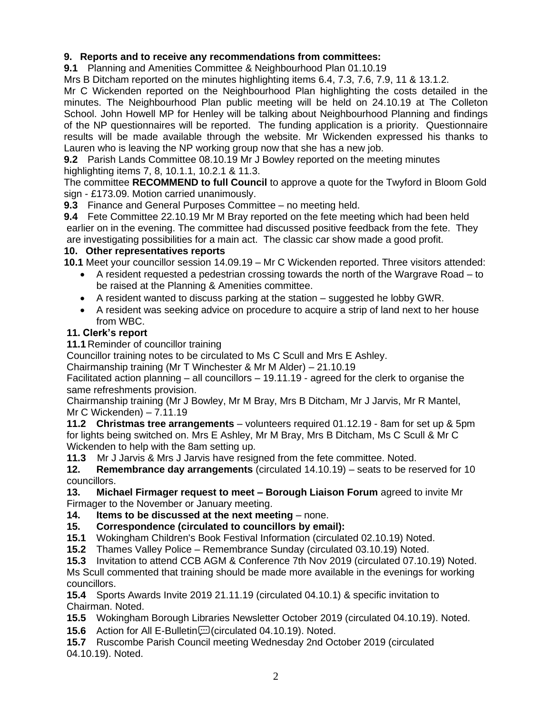## **9. Reports and to receive any recommendations from committees:**

**9.1** Planning and Amenities Committee & Neighbourhood Plan 01.10.19

Mrs B Ditcham reported on the minutes highlighting items 6.4, 7.3, 7.6, 7.9, 11 & 13.1.2.

Mr C Wickenden reported on the Neighbourhood Plan highlighting the costs detailed in the minutes. The Neighbourhood Plan public meeting will be held on 24.10.19 at The Colleton School. John Howell MP for Henley will be talking about Neighbourhood Planning and findings of the NP questionnaires will be reported. The funding application is a priority. Questionnaire results will be made available through the website. Mr Wickenden expressed his thanks to Lauren who is leaving the NP working group now that she has a new job.

**9.2** Parish Lands Committee 08.10.19 Mr J Bowley reported on the meeting minutes highlighting items 7, 8, 10.1.1, 10.2.1 & 11.3.

The committee **RECOMMEND to full Council** to approve a quote for the Twyford in Bloom Gold sign - £173.09. Motion carried unanimously.

**9.3** Finance and General Purposes Committee – no meeting held.

**9.4** Fete Committee 22.10.19 Mr M Bray reported on the fete meeting which had been held earlier on in the evening. The committee had discussed positive feedback from the fete. They are investigating possibilities for a main act. The classic car show made a good profit.

### **10. Other representatives reports**

**10.1** Meet your councillor session 14.09.19 – Mr C Wickenden reported. Three visitors attended:

- A resident requested a pedestrian crossing towards the north of the Wargrave Road to be raised at the Planning & Amenities committee.
- A resident wanted to discuss parking at the station suggested he lobby GWR.
- A resident was seeking advice on procedure to acquire a strip of land next to her house from WBC.

### **11. Clerk's report**

**11.1** Reminder of councillor training

Councillor training notes to be circulated to Ms C Scull and Mrs E Ashley.

Chairmanship training (Mr T Winchester & Mr M Alder) – 21.10.19

Facilitated action planning – all councillors – 19.11.19 - agreed for the clerk to organise the same refreshments provision.

Chairmanship training (Mr J Bowley, Mr M Bray, Mrs B Ditcham, Mr J Jarvis, Mr R Mantel, Mr C Wickenden) – 7.11.19

**11.2 Christmas tree arrangements** – volunteers required 01.12.19 - 8am for set up & 5pm for lights being switched on. Mrs E Ashley, Mr M Bray, Mrs B Ditcham, Ms C Scull & Mr C Wickenden to help with the 8am setting up.

**11.3** Mr J Jarvis & Mrs J Jarvis have resigned from the fete committee. Noted.

**12. Remembrance day arrangements** (circulated 14.10.19) – seats to be reserved for 10 councillors.

**13. Michael Firmager request to meet – Borough Liaison Forum** agreed to invite Mr Firmager to the November or January meeting.

- **14. Items to be discussed at the next meeting** none.
- **15. Correspondence (circulated to councillors by email):**

**15.1** Wokingham Children's Book Festival Information (circulated 02.10.19) Noted.

**15.2** Thames Valley Police – Remembrance Sunday (circulated 03.10.19) Noted.

**15.3** Invitation to attend CCB AGM & Conference 7th Nov 2019 (circulated 07.10.19) Noted. Ms Scull commented that training should be made more available in the evenings for working councillors.

**15.4** Sports Awards Invite 2019 21.11.19 (circulated 04.10.1) & specific invitation to Chairman. Noted.

**15.5** Wokingham Borough Libraries Newsletter October 2019 (circulated 04.10.19). Noted.

**15.6** Action for All E-Bulletin [1] (circulated 04.10.19). Noted.

**15.7** Ruscombe Parish Council meeting Wednesday 2nd October 2019 (circulated 04.10.19). Noted.